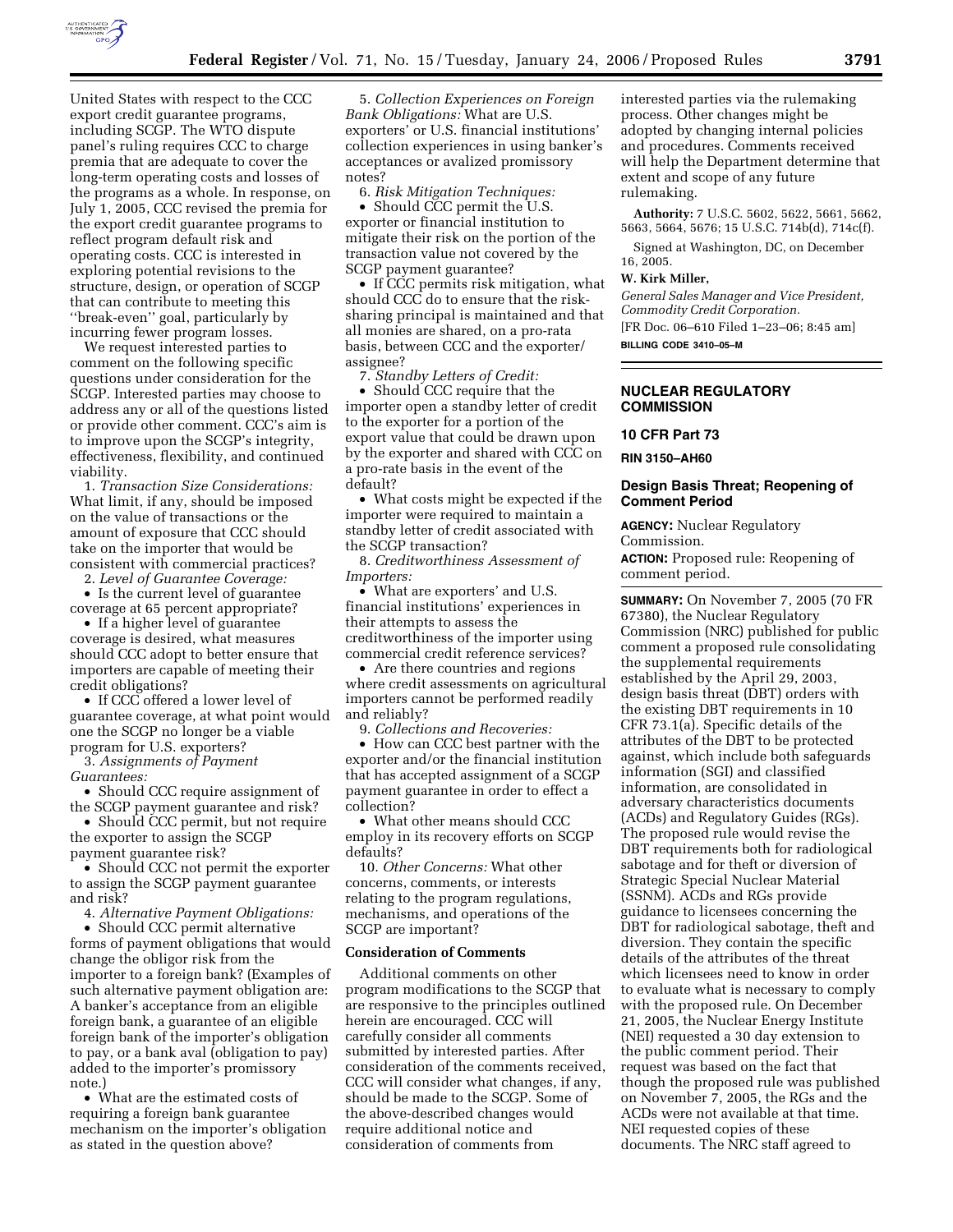

United States with respect to the CCC export credit guarantee programs, including SCGP. The WTO dispute panel's ruling requires CCC to charge premia that are adequate to cover the long-term operating costs and losses of the programs as a whole. In response, on July 1, 2005, CCC revised the premia for the export credit guarantee programs to reflect program default risk and operating costs. CCC is interested in exploring potential revisions to the structure, design, or operation of SCGP that can contribute to meeting this ''break-even'' goal, particularly by incurring fewer program losses.

We request interested parties to comment on the following specific questions under consideration for the SCGP. Interested parties may choose to address any or all of the questions listed or provide other comment. CCC's aim is to improve upon the SCGP's integrity, effectiveness, flexibility, and continued viability.

1. *Transaction Size Considerations:*  What limit, if any, should be imposed on the value of transactions or the amount of exposure that CCC should take on the importer that would be consistent with commercial practices?

2. *Level of Guarantee Coverage:* 

• Is the current level of guarantee coverage at 65 percent appropriate?

• If a higher level of guarantee coverage is desired, what measures should CCC adopt to better ensure that importers are capable of meeting their credit obligations?

• If CCC offered a lower level of guarantee coverage, at what point would one the SCGP no longer be a viable program for U.S. exporters?

3. *Assignments of Payment* 

*Guarantees:* 

• Should CCC require assignment of the SCGP payment guarantee and risk?

• Should CCC permit, but not require the exporter to assign the SCGP payment guarantee risk?

• Should CCC not permit the exporter to assign the SCGP payment guarantee and risk?

4. *Alternative Payment Obligations:* 

• Should CCC permit alternative forms of payment obligations that would change the obligor risk from the importer to a foreign bank? (Examples of such alternative payment obligation are: A banker's acceptance from an eligible foreign bank, a guarantee of an eligible foreign bank of the importer's obligation to pay, or a bank aval (obligation to pay) added to the importer's promissory note.)

• What are the estimated costs of requiring a foreign bank guarantee mechanism on the importer's obligation as stated in the question above?

5. *Collection Experiences on Foreign Bank Obligations:* What are U.S. exporters' or U.S. financial institutions' collection experiences in using banker's acceptances or avalized promissory notes?

6. *Risk Mitigation Techniques:* 

• Should CCC permit the U.S. exporter or financial institution to mitigate their risk on the portion of the transaction value not covered by the SCGP payment guarantee?

• If CCC permits risk mitigation, what should CCC do to ensure that the risksharing principal is maintained and that all monies are shared, on a pro-rata basis, between CCC and the exporter/ assignee?

7. *Standby Letters of Credit:* 

• Should CCC require that the importer open a standby letter of credit to the exporter for a portion of the export value that could be drawn upon by the exporter and shared with CCC on a pro-rate basis in the event of the default?

• What costs might be expected if the importer were required to maintain a standby letter of credit associated with the SCGP transaction?

8. *Creditworthiness Assessment of Importers:* 

• What are exporters' and U.S. financial institutions' experiences in their attempts to assess the creditworthiness of the importer using commercial credit reference services?

• Are there countries and regions where credit assessments on agricultural importers cannot be performed readily and reliably?

9. *Collections and Recoveries:* 

• How can CCC best partner with the exporter and/or the financial institution that has accepted assignment of a SCGP payment guarantee in order to effect a collection?

• What other means should CCC employ in its recovery efforts on SCGP defaults?

10. *Other Concerns:* What other concerns, comments, or interests relating to the program regulations, mechanisms, and operations of the SCGP are important?

#### **Consideration of Comments**

Additional comments on other program modifications to the SCGP that are responsive to the principles outlined herein are encouraged. CCC will carefully consider all comments submitted by interested parties. After consideration of the comments received, CCC will consider what changes, if any, should be made to the SCGP. Some of the above-described changes would require additional notice and consideration of comments from

interested parties via the rulemaking process. Other changes might be adopted by changing internal policies and procedures. Comments received will help the Department determine that extent and scope of any future rulemaking.

**Authority:** 7 U.S.C. 5602, 5622, 5661, 5662, 5663, 5664, 5676; 15 U.S.C. 714b(d), 714c(f).

Signed at Washington, DC, on December 16, 2005.

#### **W. Kirk Miller,**

*General Sales Manager and Vice President, Commodity Credit Corporation.*  [FR Doc. 06–610 Filed 1–23–06; 8:45 am]

**BILLING CODE 3410–05–M** 

## **NUCLEAR REGULATORY COMMISSION**

# **10 CFR Part 73**

**RIN 3150–AH60** 

# **Design Basis Threat; Reopening of Comment Period**

**AGENCY:** Nuclear Regulatory Commission.

**ACTION:** Proposed rule: Reopening of comment period.

**SUMMARY:** On November 7, 2005 (70 FR 67380), the Nuclear Regulatory Commission (NRC) published for public comment a proposed rule consolidating the supplemental requirements established by the April 29, 2003, design basis threat (DBT) orders with the existing DBT requirements in 10 CFR 73.1(a). Specific details of the attributes of the DBT to be protected against, which include both safeguards information (SGI) and classified information, are consolidated in adversary characteristics documents (ACDs) and Regulatory Guides (RGs). The proposed rule would revise the DBT requirements both for radiological sabotage and for theft or diversion of Strategic Special Nuclear Material (SSNM). ACDs and RGs provide guidance to licensees concerning the DBT for radiological sabotage, theft and diversion. They contain the specific details of the attributes of the threat which licensees need to know in order to evaluate what is necessary to comply with the proposed rule. On December 21, 2005, the Nuclear Energy Institute (NEI) requested a 30 day extension to the public comment period. Their request was based on the fact that though the proposed rule was published on November 7, 2005, the RGs and the ACDs were not available at that time. NEI requested copies of these documents. The NRC staff agreed to